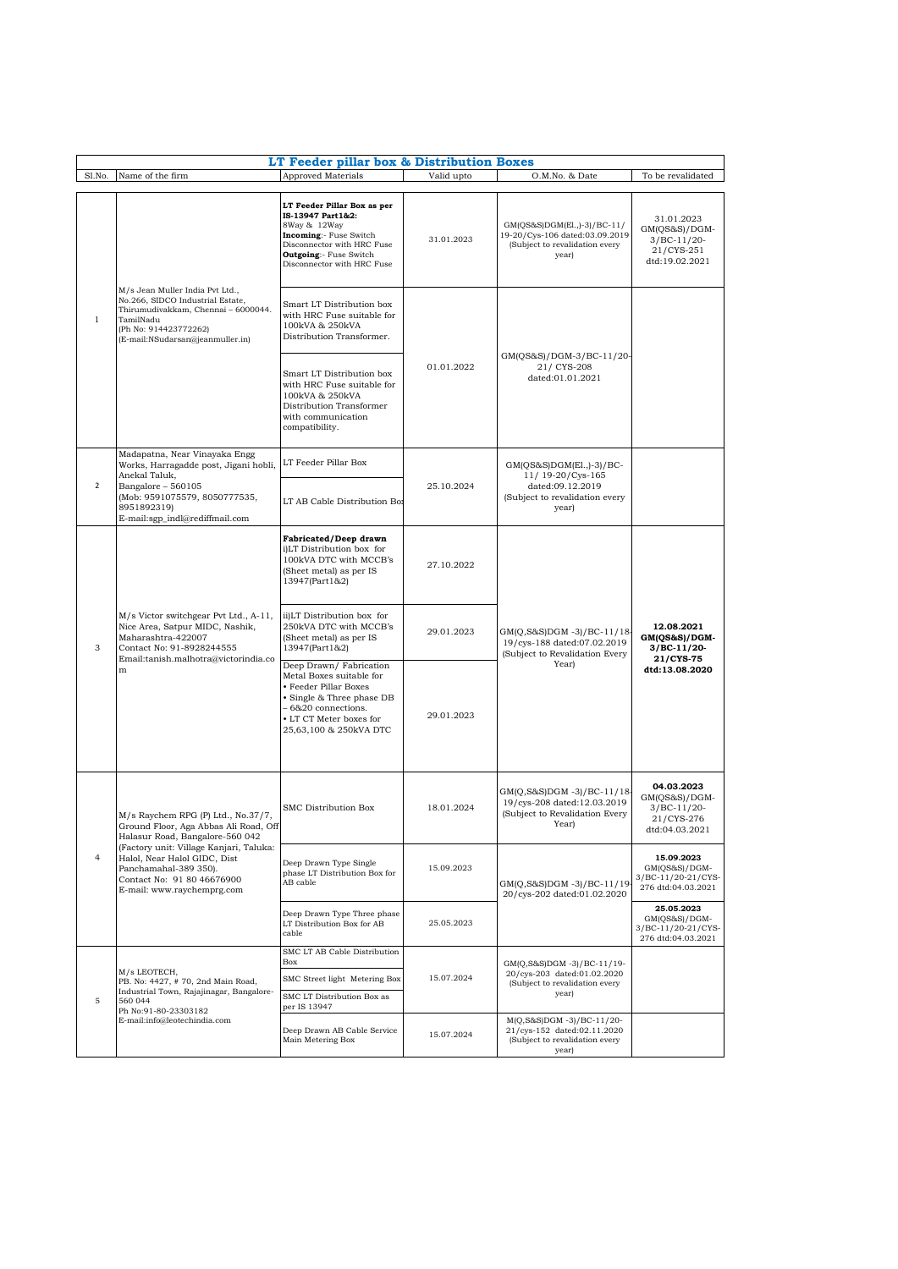| LT Feeder pillar box & Distribution Boxes<br><b>Approved Materials</b><br>Valid upto<br>Sl.No.<br>Name of the firm<br>O.M.No. & Date<br>To be revalidated |                                                                                                                                                                                                                                                                                |                                                                                                                                                                                         |            |                                                                                                               |                                                                              |  |  |  |
|-----------------------------------------------------------------------------------------------------------------------------------------------------------|--------------------------------------------------------------------------------------------------------------------------------------------------------------------------------------------------------------------------------------------------------------------------------|-----------------------------------------------------------------------------------------------------------------------------------------------------------------------------------------|------------|---------------------------------------------------------------------------------------------------------------|------------------------------------------------------------------------------|--|--|--|
|                                                                                                                                                           |                                                                                                                                                                                                                                                                                |                                                                                                                                                                                         |            |                                                                                                               |                                                                              |  |  |  |
| 1                                                                                                                                                         | M/s Jean Muller India Pvt Ltd.,<br>No.266, SIDCO Industrial Estate,<br>Thirumudivakkam, Chennai - 6000044.<br>TamilNadu<br>(Ph No: 914423772262)<br>(E-mail:NSudarsan@jeanmuller.in)                                                                                           | LT Feeder Pillar Box as per<br>IS-13947 Part 1&2:<br>8Way & 12Way<br>Incoming:- Fuse Switch<br>Disconnector with HRC Fuse<br><b>Outgoing:</b> Fuse Switch<br>Disconnector with HRC Fuse | 31.01.2023 | GM(QS&S)DGM(El.,)-3)/BC-11/<br>19-20/Cys-106 dated:03.09.2019<br>(Subject to revalidation every<br>year)      | 31.01.2023<br>GM(QS&S)/DGM-<br>$3/BC-11/20-$<br>21/CYS-251<br>dtd:19.02.2021 |  |  |  |
|                                                                                                                                                           |                                                                                                                                                                                                                                                                                | Smart LT Distribution box<br>with HRC Fuse suitable for<br>100kVA & 250kVA<br>Distribution Transformer.                                                                                 | 01.01.2022 | GM(QS&S)/DGM-3/BC-11/20-<br>21/ CYS-208<br>dated:01.01.2021                                                   |                                                                              |  |  |  |
|                                                                                                                                                           |                                                                                                                                                                                                                                                                                | Smart LT Distribution box<br>with HRC Fuse suitable for<br>100kVA & 250kVA<br>Distribution Transformer<br>with communication<br>compatibility.                                          |            |                                                                                                               |                                                                              |  |  |  |
| $\overline{2}$                                                                                                                                            | Madapatna, Near Vinayaka Engg<br>Works, Harragadde post, Jigani hobli,<br>Anekal Taluk.<br>Bangalore - 560105<br>(Mob: 9591075579, 8050777535,<br>8951892319)<br>E-mail:sgp_indl@rediffmail.com                                                                                | LT Feeder Pillar Box                                                                                                                                                                    | 25.10.2024 | $GM(QS&S)DGM(E1.,-3)/BC-$<br>11/ 19-20/Cys-165<br>dated:09.12.2019<br>(Subject to revalidation every<br>year) |                                                                              |  |  |  |
|                                                                                                                                                           |                                                                                                                                                                                                                                                                                | LT AB Cable Distribution Bo:                                                                                                                                                            |            |                                                                                                               |                                                                              |  |  |  |
| 3                                                                                                                                                         | M/s Victor switchgear Pvt Ltd., A-11,<br>Nice Area, Satpur MIDC, Nashik,<br>Maharashtra-422007<br>Contact No: 91-8928244555<br>Email:tanish.malhotra@victorindia.co<br>${\bf m}$                                                                                               | <b>Fabricated/Deep drawn</b><br>i)LT Distribution box for<br>100kVA DTC with MCCB's<br>(Sheet metal) as per IS<br>13947(Part1&2)                                                        | 27.10.2022 | GM(Q,S&S)DGM -3)/BC-11/18-<br>19/cys-188 dated:07.02.2019<br>(Subject to Revalidation Every<br>Year)          |                                                                              |  |  |  |
|                                                                                                                                                           |                                                                                                                                                                                                                                                                                | ii)LT Distribution box for<br>250kVA DTC with MCCB's<br>(Sheet metal) as per IS<br>13947(Part1&2)                                                                                       | 29.01.2023 |                                                                                                               | 12.08.2021<br>GM(QS&S)/DGM-<br>$3/BC-11/20-$<br>21/CYS-75<br>dtd:13.08.2020  |  |  |  |
|                                                                                                                                                           |                                                                                                                                                                                                                                                                                | Deep Drawn/Fabrication<br>Metal Boxes suitable for<br>• Feeder Pillar Boxes<br>Single & Three phase DB<br>- 6&20 connections.<br>• LT CT Meter boxes for<br>25,63,100 & 250kVA DTC      | 29.01.2023 |                                                                                                               |                                                                              |  |  |  |
| $\overline{4}$                                                                                                                                            | M/s Raychem RPG (P) Ltd., No.37/7,<br>Ground Floor, Aga Abbas Ali Road, Off<br>Halasur Road, Bangalore-560 042<br>(Factory unit: Village Kanjari, Taluka:<br>Halol, Near Halol GIDC, Dist<br>Panchamahal-389 350).<br>Contact No: 91 80 46676900<br>E-mail: www.raychemprg.com | SMC Distribution Box                                                                                                                                                                    | 18.01.2024 | GM(Q,S&S)DGM -3)/BC-11/18-<br>19/cys-208 dated:12.03.2019<br>(Subject to Revalidation Every<br>Year)          | 04.03.2023<br>GM(QS&S)/DGM-<br>$3/BC-11/20-$<br>21/CYS-276<br>dtd:04.03.2021 |  |  |  |
|                                                                                                                                                           |                                                                                                                                                                                                                                                                                | Deep Drawn Type Single<br>phase LT Distribution Box for<br>AB cable                                                                                                                     | 15.09.2023 | GM(Q,S&S)DGM -3)/BC-11/19<br>20/cys-202 dated:01.02.2020                                                      | 15.09.2023<br>$GM(QS&S)/DGM-$<br>3/BC-11/20-21/CYS-<br>276 dtd:04.03.2021    |  |  |  |
|                                                                                                                                                           |                                                                                                                                                                                                                                                                                | Deep Drawn Type Three phase<br>LT Distribution Box for AB<br>cable                                                                                                                      | 25.05.2023 |                                                                                                               | 25.05.2023<br>GM(OS&S)/DGM-<br>3/BC-11/20-21/CYS-<br>276 dtd:04.03.2021      |  |  |  |
| $\mathbf 5$                                                                                                                                               | M/s LEOTECH,<br>PB. No: 4427, #70, 2nd Main Road,<br>Industrial Town, Rajajinagar, Bangalore-<br>560 044<br>Ph No:91-80-23303182<br>E-mail:info@leotechindia.com                                                                                                               | SMC LT AB Cable Distribution<br>Box                                                                                                                                                     | 15.07.2024 | GM(Q,S&S)DGM -3)/BC-11/19-<br>20/cys-203 dated:01.02.2020<br>(Subject to revalidation every<br>year)          |                                                                              |  |  |  |
|                                                                                                                                                           |                                                                                                                                                                                                                                                                                | SMC Street light Metering Box                                                                                                                                                           |            |                                                                                                               |                                                                              |  |  |  |
|                                                                                                                                                           |                                                                                                                                                                                                                                                                                | SMC LT Distribution Box as<br>per IS 13947                                                                                                                                              |            |                                                                                                               |                                                                              |  |  |  |
|                                                                                                                                                           |                                                                                                                                                                                                                                                                                | Deep Drawn AB Cable Service<br>Main Metering Box                                                                                                                                        | 15.07.2024 | M(Q,S&S)DGM -3)/BC-11/20-<br>21/cys-152 dated:02.11.2020<br>(Subject to revalidation every<br>year)           |                                                                              |  |  |  |